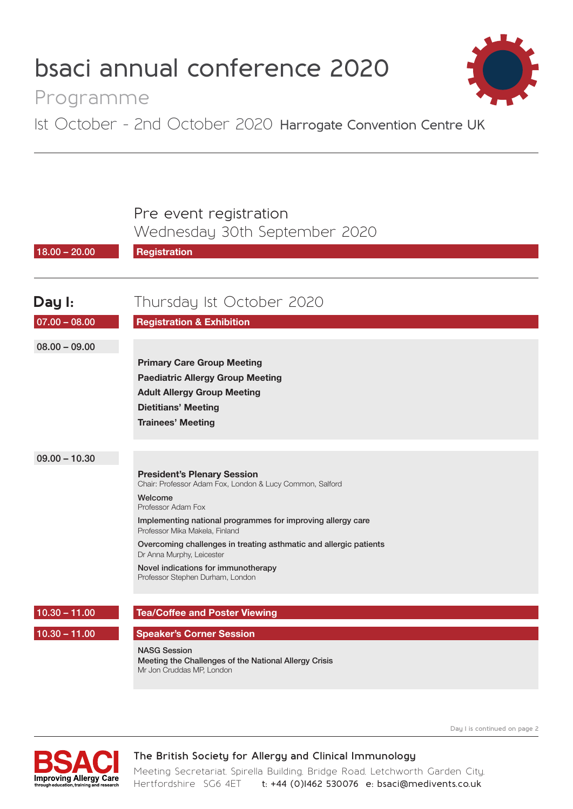# **bsaci annual conference 2020**



 **Day 1 is continued on page 2**

## Programme

1st October - 2nd October 2020 **Harrogate Convention Centre UK**

### Pre event registration

Wednesday 30th September 2020

| $18.00 - 20.00$ | <b>Registration</b>                                                                                       |
|-----------------|-----------------------------------------------------------------------------------------------------------|
|                 |                                                                                                           |
| Day I:          | Thursday Ist October 2020                                                                                 |
| $07.00 - 08.00$ | <b>Registration &amp; Exhibition</b>                                                                      |
| $08.00 - 09.00$ |                                                                                                           |
|                 | <b>Primary Care Group Meeting</b>                                                                         |
|                 | <b>Paediatric Allergy Group Meeting</b>                                                                   |
|                 | <b>Adult Allergy Group Meeting</b>                                                                        |
|                 | <b>Dietitians' Meeting</b>                                                                                |
|                 | <b>Trainees' Meeting</b>                                                                                  |
|                 |                                                                                                           |
| $09.00 - 10.30$ |                                                                                                           |
|                 | <b>President's Plenary Session</b><br>Chair: Professor Adam Fox, London & Lucy Common, Salford            |
|                 | Welcome<br>Professor Adam Fox                                                                             |
|                 | Implementing national programmes for improving allergy care<br>Professor Mika Makela, Finland             |
|                 | Overcoming challenges in treating asthmatic and allergic patients<br>Dr Anna Murphy, Leicester            |
|                 | Novel indications for immunotherapy<br>Professor Stephen Durham, London                                   |
| $10.30 - 11.00$ | <b>Tea/Coffee and Poster Viewing</b>                                                                      |
| $10.30 - 11.00$ | <b>Speaker's Corner Session</b>                                                                           |
|                 | <b>NASG Session</b><br>Meeting the Challenges of the National Allergy Crisis<br>Mr Jon Cruddas MP, London |



### **The British Society for Allergy and Clinical Immunology**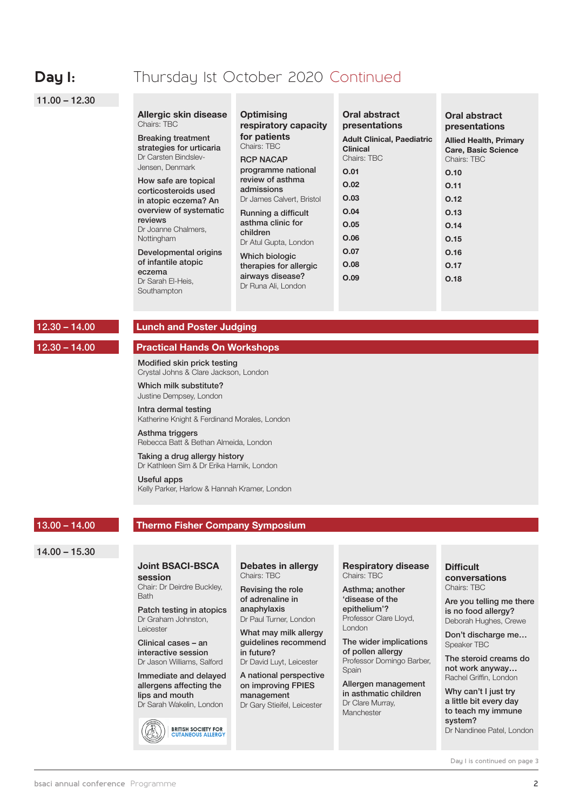### **Day I:** Thursday Ist October 2020 Continued

#### 11.00 – 12.30

| Allergic skin disease<br>Chairs: TBC                                          | <b>Optimising</b><br>respiratory capacity       | Oral abstract<br>presentations                                      | Oral abstract<br>presentations                                             |
|-------------------------------------------------------------------------------|-------------------------------------------------|---------------------------------------------------------------------|----------------------------------------------------------------------------|
| <b>Breaking treatment</b><br>strategies for urticaria<br>Dr Carsten Bindslev- | for patients<br>Chairs: TBC<br><b>RCP NACAP</b> | <b>Adult Clinical, Paediatric</b><br><b>Clinical</b><br>Chairs: TBC | <b>Allied Health, Primary</b><br><b>Care, Basic Science</b><br>Chairs: TBC |
| Jensen, Denmark                                                               | programme national                              | O.01                                                                | O.10                                                                       |
| How safe are topical<br>corticosteroids used                                  | review of asthma<br>admissions                  | O.02                                                                | 0.11                                                                       |
| in atopic eczema? An                                                          | Dr James Calvert, Bristol                       | O.03                                                                | 0.12                                                                       |
| overview of systematic                                                        | Running a difficult                             | O.04                                                                | O.13                                                                       |
| reviews<br>Dr Joanne Chalmers,                                                | asthma clinic for                               | O.05                                                                | 0.14                                                                       |
| Nottingham                                                                    | children<br>Dr Atul Gupta, London               | 0.06                                                                | 0.15                                                                       |
| Developmental origins                                                         | Which biologic                                  | <b>O.07</b>                                                         | O.16                                                                       |
| of infantile atopic                                                           | therapies for allergic                          | O.08                                                                | 0.17                                                                       |
| eczema<br>Dr Sarah El-Heis,<br>Southampton                                    | airways disease?<br>Dr Runa Ali, London         | O.09                                                                | 0.18                                                                       |

#### 12.30 – 14.00

#### **Lunch and Poster Judging**

#### 12.30 – 14.00

#### **Practical Hands On Workshops**

Modified skin prick testing Crystal Johns & Clare Jackson, London

Which milk substitute? Justine Dempsey, London

Intra dermal testing Katherine Knight & Ferdinand Morales, London

Asthma triggers Rebecca Batt & Bethan Almeida, London

#### Taking a drug allergy history Dr Kathleen Sim & Dr Erika Harnik, London

Useful apps Kelly Parker, Harlow & Hannah Kramer, London

#### 13.00 – 14.00

#### **Thermo Fisher Company Symposium**

#### 14.00 – 15.30

#### **Joint BSACI-BSCA session**

Chair: Dr Deirdre Buckley, **Bath** 

Patch testing in atopics Dr Graham Johnston, Leicester

Clinical cases – an interactive session Dr Jason Williams, Salford

Immediate and delayed allergens affecting the lips and mouth

Dr Sarah Wakelin, London

**BRITISH SOCIETY FOR<br>CUTANEOUS ALLERGY** 

**Debates in allergy** Chairs: TBC

Revising the role of adrenaline in anaphylaxis Dr Paul Turner, London

What may milk allergy guidelines recommend in future? Dr David Luyt, Leicester

A national perspective on improving FPIES management Dr Gary Stieifel, Leicester

**Respiratory disease** Chairs: TBC

Asthma; another 'disease of the epithelium'? Professor Clare Lloyd, London

The wider implications of pollen allergy Professor Domingo Barber, **Spain** 

Allergen management in asthmatic children Dr Clare Murray, Manchester

### **Difficult**

**conversations** Chairs: TBC

Are you telling me there is no food allergy? Deborah Hughes, Crewe

Don't discharge me… Speaker TBC

The steroid creams do not work anyway… Rachel Griffin, London

Why can't I just try a little bit every day to teach my immune system? Dr Nandinee Patel, London

 **Day 1 is continued on page 3**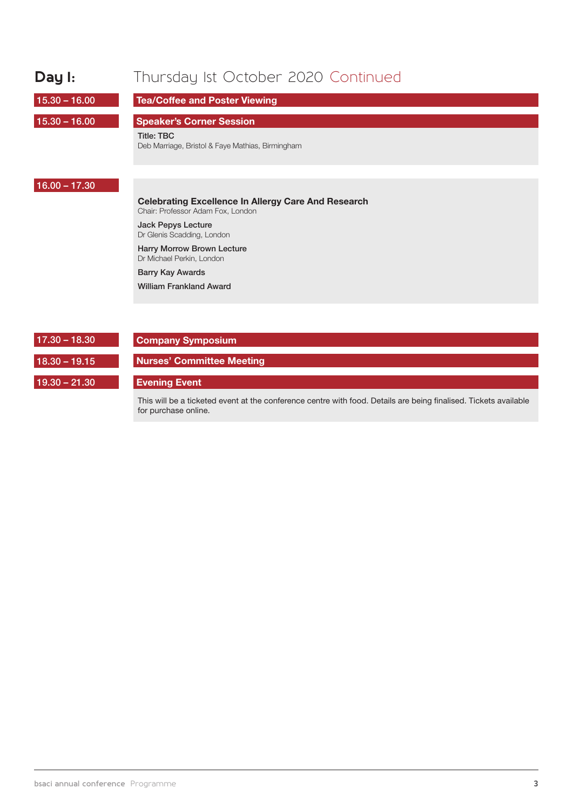| Day I:          | Thursday Ist October 2020 Continued                                                                                                                                                                                                                                                       |
|-----------------|-------------------------------------------------------------------------------------------------------------------------------------------------------------------------------------------------------------------------------------------------------------------------------------------|
| $15.30 - 16.00$ | <b>Tea/Coffee and Poster Viewing</b>                                                                                                                                                                                                                                                      |
| $15.30 - 16.00$ | <b>Speaker's Corner Session</b><br><b>Title: TBC</b><br>Deb Marriage, Bristol & Faye Mathias, Birmingham                                                                                                                                                                                  |
| $16.00 - 17.30$ | <b>Celebrating Excellence In Allergy Care And Research</b><br>Chair: Professor Adam Fox, London<br><b>Jack Pepys Lecture</b><br>Dr Glenis Scadding, London<br><b>Harry Morrow Brown Lecture</b><br>Dr Michael Perkin, London<br><b>Barry Kay Awards</b><br><b>William Frankland Award</b> |
| $17.30 - 18.30$ | <b>Company Symposium</b>                                                                                                                                                                                                                                                                  |
| $18.30 - 19.15$ | <b>Nurses' Committee Meeting</b>                                                                                                                                                                                                                                                          |
| $19.30 - 21.30$ | <b>Evening Event</b>                                                                                                                                                                                                                                                                      |

This will be a ticketed event at the conference centre with food. Details are being finalised. Tickets available for purchase online.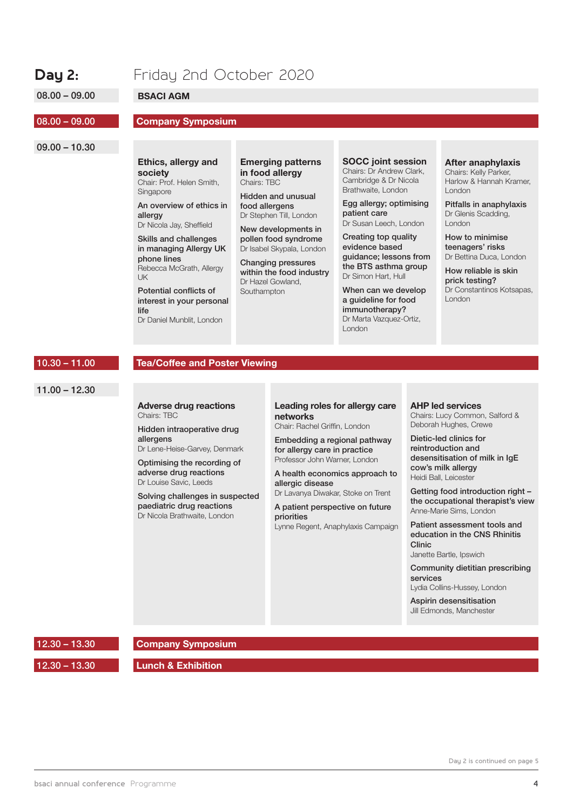### **Day 2:** Friday 2nd October 2020

08.00 – 09.00

**BSACI AGM**

#### 08.00 – 09.00

#### **Company Symposium**

### 09.00 – 10.30

## **Ethics, allergy and**

**society** Chair: Prof. Helen Smith, Singapore

An overview of ethics in allergy Dr Nicola Jay, Sheffield

Skills and challenges in managing Allergy UK phone lines Rebecca McGrath, Allergy UK

Potential conflicts of interest in your personal life Dr Daniel Munblit, London

**Emerging patterns in food allergy** Chairs: TBC

Hidden and unusual food allergens Dr Stephen Till, London

New developments in pollen food syndrome Dr Isabel Skypala, London

Changing pressures within the food industry Dr Hazel Gowland, **Southampton** 

#### **SOCC joint session**

Chairs: Dr Andrew Clark, Cambridge & Dr Nicola Brathwaite, London

Egg allergy; optimising patient care Dr Susan Leech, London

Creating top quality evidence based guidance; lessons from the BTS asthma group Dr Simon Hart, Hull

When can we develop a guideline for food immunotherapy? Dr Marta Vazquez-Ortiz, London

#### **After anaphylaxis**

Chairs: Kelly Parker, Harlow & Hannah Kramer, London

Pitfalls in anaphylaxis Dr Glenis Scadding, London

How to minimise teenagers' risks Dr Bettina Duca, London

How reliable is skin prick testing? Dr Constantinos Kotsapas, London

#### 10.30 – 11.00

#### **Tea/Coffee and Poster Viewing**

11.00 – 12.30

#### **Adverse drug reactions** Chairs: TBC

Hidden intraoperative drug allergens Dr Lene-Heise-Garvey, Denmark

Optimising the recording of

adverse drug reactions Dr Louise Savic, Leeds

Solving challenges in suspected paediatric drug reactions Dr Nicola Brathwaite, London

#### **Leading roles for allergy care networks**

Chair: Rachel Griffin, London

Embedding a regional pathway for allergy care in practice Professor John Warner, London

A health economics approach to allergic disease

Dr Lavanya Diwakar, Stoke on Trent

A patient perspective on future priorities Lynne Regent, Anaphylaxis Campaign **AHP led services** Chairs: Lucy Common, Salford & Deborah Hughes, Crewe

Dietic-led clinics for reintroduction and desensitisation of milk in IgE cow's milk allergy Heidi Ball, Leicester

Getting food introduction right – the occupational therapist's view Anne-Marie Sims, London

Patient assessment tools and education in the CNS Rhinitis Clinic

Janette Bartle, Ipswich

Community dietitian prescribing services Lydia Collins-Hussey, London

Aspirin desensitisation Jill Edmonds, Manchester

12.30 – 13.30

**Company Symposium**

12.30 – 13.30

**Lunch & Exhibition**